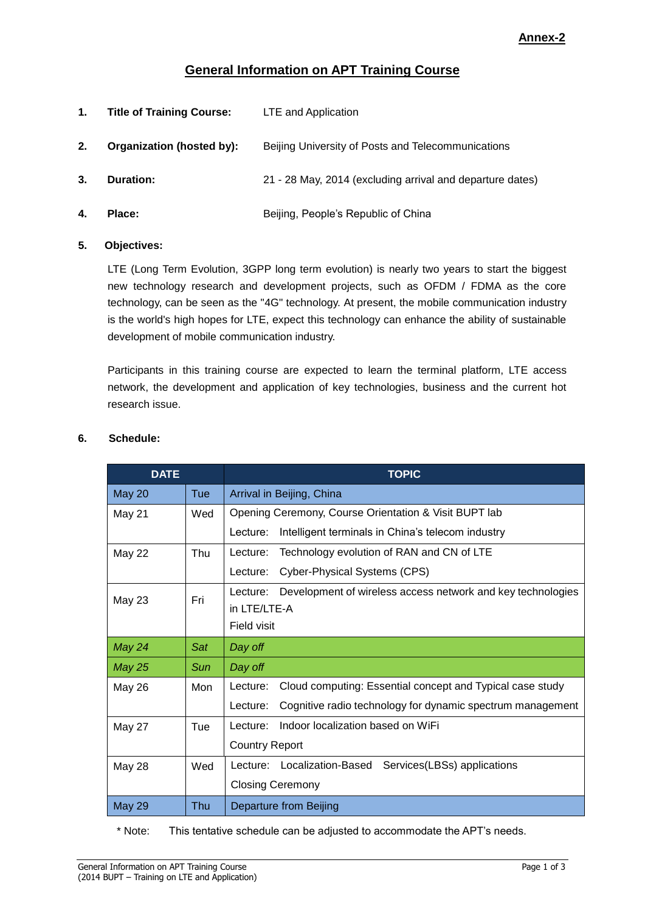# **General Information on APT Training Course**

| 1. | <b>Title of Training Course:</b> | LTE and Application                                       |
|----|----------------------------------|-----------------------------------------------------------|
| 2. | Organization (hosted by):        | Beijing University of Posts and Telecommunications        |
| 3. | <b>Duration:</b>                 | 21 - 28 May, 2014 (excluding arrival and departure dates) |
| 4. | Place:                           | Beijing, People's Republic of China                       |

#### **5. Objectives:**

LTE (Long Term Evolution, 3GPP long term evolution) is nearly two years to start the biggest new technology research and development projects, such as OFDM / FDMA as the core technology, can be seen as the "4G" technology. At present, the mobile communication industry is the world's high hopes for LTE, expect this technology can enhance the ability of sustainable development of mobile communication industry.

Participants in this training course are expected to learn the terminal platform, LTE access network, the development and application of key technologies, business and the current hot research issue.

| <b>DATE</b>   |     | <b>TOPIC</b>                                                            |  |
|---------------|-----|-------------------------------------------------------------------------|--|
| <b>May 20</b> | Tue | Arrival in Beijing, China                                               |  |
| May 21        | Wed | Opening Ceremony, Course Orientation & Visit BUPT lab                   |  |
|               |     | Intelligent terminals in China's telecom industry<br>Lecture:           |  |
| <b>May 22</b> | Thu | Technology evolution of RAN and CN of LTE<br>Lecture:                   |  |
|               |     | Cyber-Physical Systems (CPS)<br>Lecture:                                |  |
| May 23        | Fri | Development of wireless access network and key technologies<br>Lecture: |  |
|               |     | in LTE/LTE-A                                                            |  |
|               |     | Field visit                                                             |  |
| May 24        | Sat | Day off                                                                 |  |
| <b>May 25</b> | Sun | Day off                                                                 |  |
| May 26        | Mon | Cloud computing: Essential concept and Typical case study<br>Lecture:   |  |
|               |     | Cognitive radio technology for dynamic spectrum management<br>Lecture:  |  |
| May 27        | Tue | Indoor localization based on WiFi<br>Lecture:                           |  |
|               |     | <b>Country Report</b>                                                   |  |
| May 28        | Wed | Services(LBSs) applications<br>Localization-Based<br>Lecture:           |  |
|               |     | <b>Closing Ceremony</b>                                                 |  |
| <b>May 29</b> | Thu | Departure from Beijing                                                  |  |

#### **6. Schedule:**

\* Note: This tentative schedule can be adjusted to accommodate the APT's needs.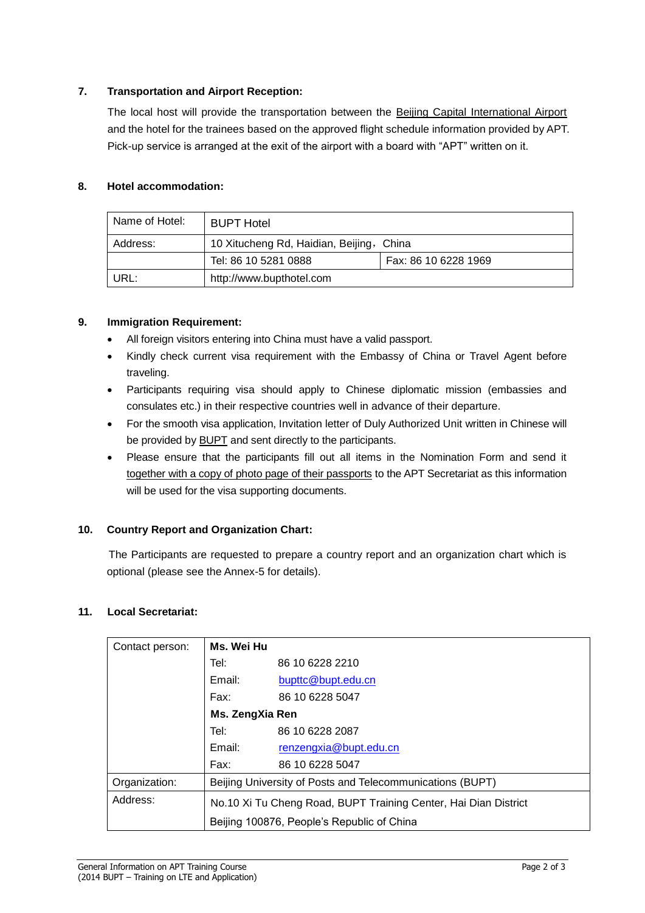### **7. Transportation and Airport Reception:**

The local host will provide the transportation between the Beijing Capital International Airport and the hotel for the trainees based on the approved flight schedule information provided by APT. Pick-up service is arranged at the exit of the airport with a board with "APT" written on it.

### **8. Hotel accommodation:**

| l Name of Hotel: | <b>BUPT Hotel</b>                        |                      |  |  |
|------------------|------------------------------------------|----------------------|--|--|
| Address:         | 10 Xitucheng Rd, Haidian, Beijing, China |                      |  |  |
|                  | Tel: 86 10 5281 0888                     | Fax: 86 10 6228 1969 |  |  |
| URL:             | http://www.bupthotel.com                 |                      |  |  |

## **9. Immigration Requirement:**

- All foreign visitors entering into China must have a valid passport.
- Kindly check current visa requirement with the Embassy of China or Travel Agent before traveling.
- Participants requiring visa should apply to Chinese diplomatic mission (embassies and consulates etc.) in their respective countries well in advance of their departure.
- For the smooth visa application, Invitation letter of Duly Authorized Unit written in Chinese will be provided by BUPT and sent directly to the participants.
- Please ensure that the participants fill out all items in the Nomination Form and send it together with a copy of photo page of their passports to the APT Secretariat as this information will be used for the visa supporting documents.

#### **10. Country Report and Organization Chart:**

The Participants are requested to prepare a country report and an organization chart which is optional (please see the Annex-5 for details).

#### **11. Local Secretariat:**

| Contact person:                            | Ms. Wei Hu                                                      |                        |  |
|--------------------------------------------|-----------------------------------------------------------------|------------------------|--|
|                                            | Tel:                                                            | 86 10 6228 2210        |  |
|                                            | Email:                                                          | bupttc@bupt.edu.cn     |  |
|                                            | Fax:                                                            | 86 10 6228 5047        |  |
|                                            | Ms. ZengXia Ren                                                 |                        |  |
|                                            | Tel:                                                            | 86 10 6228 2087        |  |
|                                            | Email:                                                          | renzengxia@bupt.edu.cn |  |
|                                            | Fax:                                                            | 86 10 6228 5047        |  |
| Organization:                              | Beijing University of Posts and Telecommunications (BUPT)       |                        |  |
| Address:                                   | No.10 Xi Tu Cheng Road, BUPT Training Center, Hai Dian District |                        |  |
| Beijing 100876, People's Republic of China |                                                                 |                        |  |